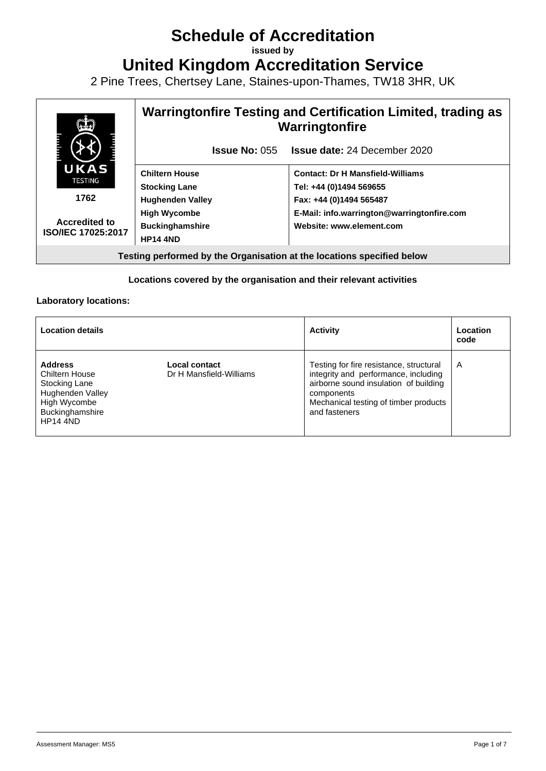# **Schedule of Accreditation**

**issued by**

**United Kingdom Accreditation Service**

2 Pine Trees, Chertsey Lane, Staines-upon-Thames, TW18 3HR, UK



#### **Locations covered by the organisation and their relevant activities**

#### **Laboratory locations:**

| <b>Location details</b>                                                                                                                   |                                          | <b>Activity</b>                                                                                                                                                                                  | Location<br>code |
|-------------------------------------------------------------------------------------------------------------------------------------------|------------------------------------------|--------------------------------------------------------------------------------------------------------------------------------------------------------------------------------------------------|------------------|
| <b>Address</b><br><b>Chiltern House</b><br>Stocking Lane<br><b>Hughenden Valley</b><br>High Wycombe<br>Buckinghamshire<br><b>HP14 4ND</b> | Local contact<br>Dr H Mansfield-Williams | Testing for fire resistance, structural<br>integrity and performance, including<br>airborne sound insulation of building<br>components<br>Mechanical testing of timber products<br>and fasteners | A                |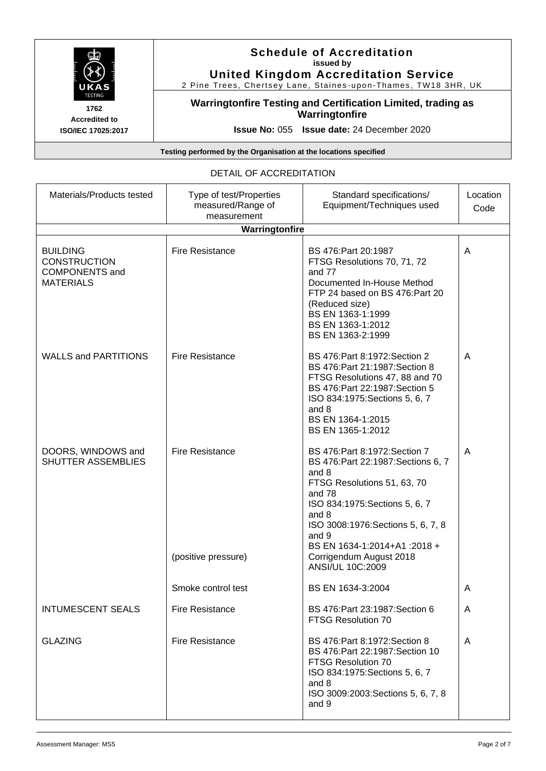

### **Schedule of Accreditation issued by United Kingdom Accreditation Service**

2 Pine Trees, Chertsey Lane, Staines -upon-Thames, TW18 3HR, UK

**Warringtonfire Testing and Certification Limited, trading as Warringtonfire**

**Issue No:** 055 **Issue date:** 24 December 2020

**Testing performed by the Organisation at the locations specified**

### DETAIL OF ACCREDITATION

| Materials/Products tested                                                           | Type of test/Properties<br>measured/Range of<br>measurement | Standard specifications/<br>Equipment/Techniques used                                                                                                                                                                                                                                         | Location<br>Code |
|-------------------------------------------------------------------------------------|-------------------------------------------------------------|-----------------------------------------------------------------------------------------------------------------------------------------------------------------------------------------------------------------------------------------------------------------------------------------------|------------------|
|                                                                                     | Warringtonfire                                              |                                                                                                                                                                                                                                                                                               |                  |
| <b>BUILDING</b><br><b>CONSTRUCTION</b><br><b>COMPONENTS and</b><br><b>MATERIALS</b> | <b>Fire Resistance</b>                                      | BS 476: Part 20:1987<br>FTSG Resolutions 70, 71, 72<br>and 77<br>Documented In-House Method<br>FTP 24 based on BS 476:Part 20<br>(Reduced size)<br>BS EN 1363-1:1999<br>BS EN 1363-1:2012<br>BS EN 1363-2:1999                                                                                | A                |
| <b>WALLS and PARTITIONS</b>                                                         | <b>Fire Resistance</b>                                      | BS 476: Part 8:1972: Section 2<br>BS 476: Part 21:1987: Section 8<br>FTSG Resolutions 47, 88 and 70<br>BS 476: Part 22:1987: Section 5<br>ISO 834:1975: Sections 5, 6, 7<br>and 8<br>BS EN 1364-1:2015<br>BS EN 1365-1:2012                                                                   | A                |
| DOORS, WINDOWS and<br><b>SHUTTER ASSEMBLIES</b>                                     | <b>Fire Resistance</b><br>(positive pressure)               | BS 476: Part 8:1972: Section 7<br>BS 476: Part 22:1987: Sections 6, 7<br>and 8<br>FTSG Resolutions 51, 63, 70<br>and 78<br>ISO 834:1975: Sections 5, 6, 7<br>and 8<br>ISO 3008:1976:Sections 5, 6, 7, 8<br>and 9<br>BS EN 1634-1:2014+A1:2018+<br>Corrigendum August 2018<br>ANSI/UL 10C:2009 | A                |
|                                                                                     | Smoke control test                                          | BS EN 1634-3:2004                                                                                                                                                                                                                                                                             | A                |
| <b>INTUMESCENT SEALS</b>                                                            | <b>Fire Resistance</b>                                      | BS 476: Part 23:1987: Section 6<br><b>FTSG Resolution 70</b>                                                                                                                                                                                                                                  | A                |
| <b>GLAZING</b>                                                                      | <b>Fire Resistance</b>                                      | BS 476: Part 8:1972: Section 8<br>BS 476: Part 22:1987: Section 10<br><b>FTSG Resolution 70</b><br>ISO 834:1975: Sections 5, 6, 7<br>and 8<br>ISO 3009:2003: Sections 5, 6, 7, 8<br>and 9                                                                                                     | A                |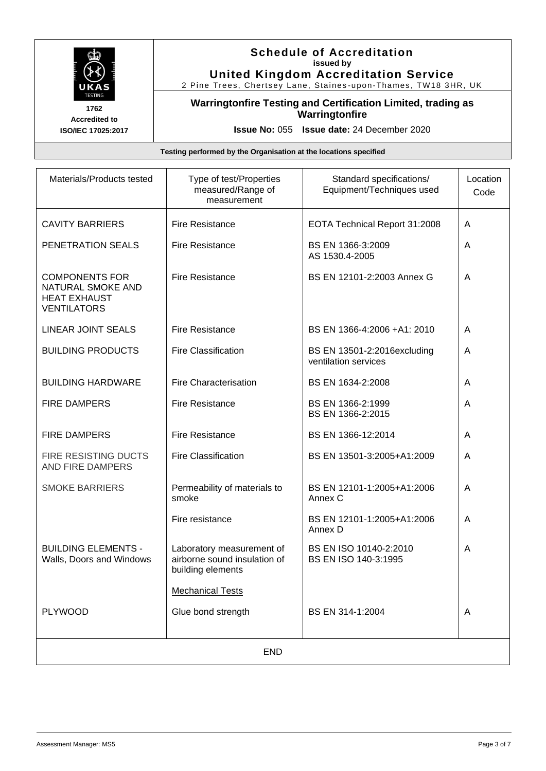

**Accredited to ISO/IEC 17025:2017**

### **Schedule of Accreditation issued by United Kingdom Accreditation Service**

2 Pine Trees, Chertsey Lane, Staines -upon-Thames, TW18 3HR, UK

### **Warringtonfire Testing and Certification Limited, trading as Warringtonfire**

**Issue No:** 055 **Issue date:** 24 December 2020

| Materials/Products tested                                                               | Type of test/Properties<br>measured/Range of<br>measurement                    | Standard specifications/<br>Equipment/Techniques used | Location<br>Code |
|-----------------------------------------------------------------------------------------|--------------------------------------------------------------------------------|-------------------------------------------------------|------------------|
| <b>CAVITY BARRIERS</b>                                                                  | <b>Fire Resistance</b>                                                         | EOTA Technical Report 31:2008                         | A                |
| PENETRATION SEALS                                                                       | <b>Fire Resistance</b>                                                         | BS EN 1366-3:2009<br>AS 1530.4-2005                   | A                |
| <b>COMPONENTS FOR</b><br>NATURAL SMOKE AND<br><b>HEAT EXHAUST</b><br><b>VENTILATORS</b> | <b>Fire Resistance</b>                                                         | BS EN 12101-2:2003 Annex G                            | A                |
| <b>LINEAR JOINT SEALS</b>                                                               | <b>Fire Resistance</b>                                                         | BS EN 1366-4:2006 +A1: 2010                           | A                |
| <b>BUILDING PRODUCTS</b>                                                                | <b>Fire Classification</b>                                                     | BS EN 13501-2:2016excluding<br>ventilation services   | A                |
| <b>BUILDING HARDWARE</b>                                                                | <b>Fire Characterisation</b>                                                   | BS EN 1634-2:2008                                     | A                |
| <b>FIRE DAMPERS</b>                                                                     | <b>Fire Resistance</b>                                                         | BS EN 1366-2:1999<br>BS EN 1366-2:2015                | A                |
| <b>FIRE DAMPERS</b>                                                                     | <b>Fire Resistance</b>                                                         | BS EN 1366-12:2014                                    | A                |
| FIRE RESISTING DUCTS<br>AND FIRE DAMPERS                                                | <b>Fire Classification</b>                                                     | BS EN 13501-3:2005+A1:2009                            | A                |
| <b>SMOKE BARRIERS</b>                                                                   | Permeability of materials to<br>smoke                                          | BS EN 12101-1:2005+A1:2006<br>Annex C                 | A                |
|                                                                                         | Fire resistance                                                                | BS EN 12101-1:2005+A1:2006<br>Annex D                 | A                |
| <b>BUILDING ELEMENTS -</b><br>Walls, Doors and Windows                                  | Laboratory measurement of<br>airborne sound insulation of<br>building elements | BS EN ISO 10140-2:2010<br>BS EN ISO 140-3:1995        | A                |
|                                                                                         | <b>Mechanical Tests</b>                                                        |                                                       |                  |
| <b>PLYWOOD</b>                                                                          | Glue bond strength                                                             | BS EN 314-1:2004                                      | A                |
| <b>END</b>                                                                              |                                                                                |                                                       |                  |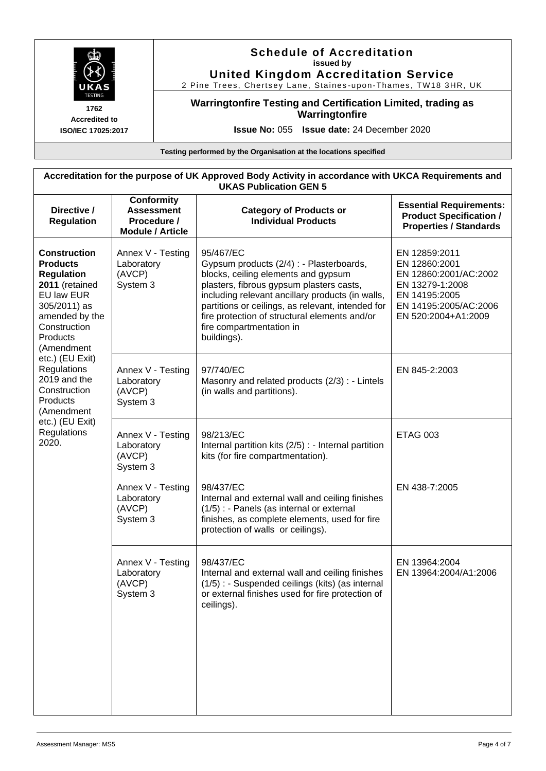

**United Kingdom Accreditation Service**

2 Pine Trees, Chertsey Lane, Staines -upon-Thames, TW18 3HR, UK

### **Warringtonfire Testing and Certification Limited, trading as Warringtonfire**

**Accredited to ISO/IEC 17025:2017**

**Issue No:** 055 **Issue date:** 24 December 2020

| Accreditation for the purpose of UK Approved Body Activity in accordance with UKCA Requirements and<br><b>UKAS Publication GEN 5</b>                                                                                                                                                                                  |                                                                                  |                                                                                                                                                                                                                                                                                                                                               |                                                                                                                                             |  |
|-----------------------------------------------------------------------------------------------------------------------------------------------------------------------------------------------------------------------------------------------------------------------------------------------------------------------|----------------------------------------------------------------------------------|-----------------------------------------------------------------------------------------------------------------------------------------------------------------------------------------------------------------------------------------------------------------------------------------------------------------------------------------------|---------------------------------------------------------------------------------------------------------------------------------------------|--|
| Directive /<br><b>Regulation</b>                                                                                                                                                                                                                                                                                      | <b>Conformity</b><br><b>Assessment</b><br>Procedure /<br><b>Module / Article</b> | <b>Category of Products or</b><br><b>Individual Products</b>                                                                                                                                                                                                                                                                                  | <b>Essential Requirements:</b><br><b>Product Specification /</b><br><b>Properties / Standards</b>                                           |  |
| <b>Construction</b><br><b>Products</b><br><b>Regulation</b><br>2011 (retained<br>EU law EUR<br>305/2011) as<br>amended by the<br>Construction<br>Products<br>(Amendment<br>etc.) (EU Exit)<br>Regulations<br>2019 and the<br>Construction<br><b>Products</b><br>(Amendment<br>etc.) (EU Exit)<br>Regulations<br>2020. | Annex V - Testing<br>Laboratory<br>(AVCP)<br>System 3                            | 95/467/EC<br>Gypsum products (2/4) : - Plasterboards,<br>blocks, ceiling elements and gypsum<br>plasters, fibrous gypsum plasters casts,<br>including relevant ancillary products (in walls,<br>partitions or ceilings, as relevant, intended for<br>fire protection of structural elements and/or<br>fire compartmentation in<br>buildings). | EN 12859:2011<br>EN 12860:2001<br>EN 12860:2001/AC:2002<br>EN 13279-1:2008<br>EN 14195:2005<br>EN 14195:2005/AC:2006<br>EN 520:2004+A1:2009 |  |
|                                                                                                                                                                                                                                                                                                                       | Annex V - Testing<br>Laboratory<br>(AVCP)<br>System 3                            | 97/740/EC<br>Masonry and related products (2/3) : - Lintels<br>(in walls and partitions).                                                                                                                                                                                                                                                     | EN 845-2:2003                                                                                                                               |  |
|                                                                                                                                                                                                                                                                                                                       | Annex V - Testing<br>Laboratory<br>(AVCP)<br>System 3                            | 98/213/EC<br>Internal partition kits (2/5) : - Internal partition<br>kits (for fire compartmentation).                                                                                                                                                                                                                                        | <b>ETAG 003</b>                                                                                                                             |  |
|                                                                                                                                                                                                                                                                                                                       | Annex V - Testing<br>Laboratory<br>(AVCP)<br>System 3                            | 98/437/EC<br>Internal and external wall and ceiling finishes<br>(1/5) : - Panels (as internal or external<br>finishes, as complete elements, used for fire<br>protection of walls or ceilings).                                                                                                                                               | EN 438-7:2005                                                                                                                               |  |
|                                                                                                                                                                                                                                                                                                                       | Annex V - Testing<br>Laboratory<br>(AVCP)<br>System 3                            | 98/437/EC<br>Internal and external wall and ceiling finishes<br>(1/5) : - Suspended ceilings (kits) (as internal<br>or external finishes used for fire protection of<br>ceilings).                                                                                                                                                            | EN 13964:2004<br>EN 13964:2004/A1:2006                                                                                                      |  |
|                                                                                                                                                                                                                                                                                                                       |                                                                                  |                                                                                                                                                                                                                                                                                                                                               |                                                                                                                                             |  |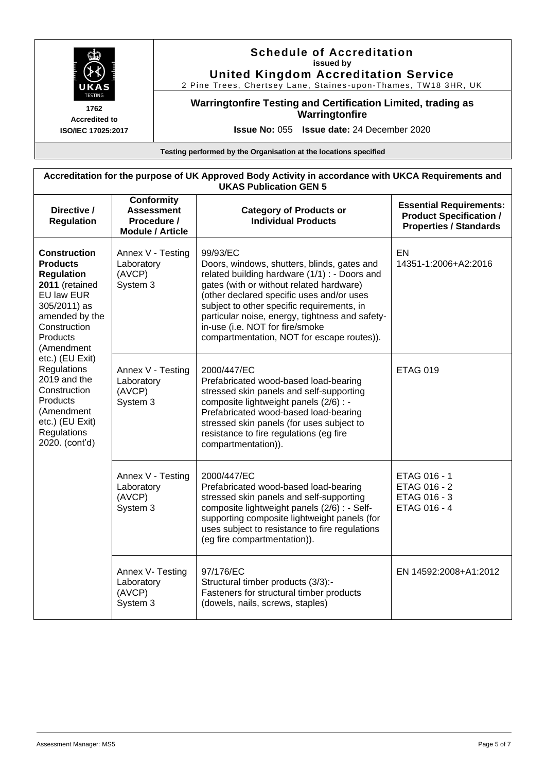

**United Kingdom Accreditation Service** 2 Pine Trees, Chertsey Lane, Staines -upon-Thames, TW18 3HR, UK

**Warringtonfire Testing and Certification Limited, trading as Warringtonfire**

**Accredited to ISO/IEC 17025:2017**

**Issue No:** 055 **Issue date:** 24 December 2020

| Accreditation for the purpose of UK Approved Body Activity in accordance with UKCA Requirements and<br><b>UKAS Publication GEN 5</b>                                                                                                                                                                                           |                                                                                  |                                                                                                                                                                                                                                                                                                                                                                                     |                                                                                                   |  |
|--------------------------------------------------------------------------------------------------------------------------------------------------------------------------------------------------------------------------------------------------------------------------------------------------------------------------------|----------------------------------------------------------------------------------|-------------------------------------------------------------------------------------------------------------------------------------------------------------------------------------------------------------------------------------------------------------------------------------------------------------------------------------------------------------------------------------|---------------------------------------------------------------------------------------------------|--|
| Directive /<br><b>Regulation</b>                                                                                                                                                                                                                                                                                               | <b>Conformity</b><br><b>Assessment</b><br>Procedure /<br><b>Module / Article</b> | <b>Category of Products or</b><br><b>Individual Products</b>                                                                                                                                                                                                                                                                                                                        | <b>Essential Requirements:</b><br><b>Product Specification /</b><br><b>Properties / Standards</b> |  |
| <b>Construction</b><br><b>Products</b><br><b>Regulation</b><br>2011 (retained<br>EU law EUR<br>305/2011) as<br>amended by the<br>Construction<br>Products<br>(Amendment<br>etc.) (EU Exit)<br><b>Regulations</b><br>2019 and the<br>Construction<br>Products<br>(Amendment<br>etc.) (EU Exit)<br>Regulations<br>2020. (cont'd) | Annex V - Testing<br>Laboratory<br>(AVCP)<br>System 3                            | 99/93/EC<br>Doors, windows, shutters, blinds, gates and<br>related building hardware (1/1) : - Doors and<br>gates (with or without related hardware)<br>(other declared specific uses and/or uses<br>subject to other specific requirements, in<br>particular noise, energy, tightness and safety-<br>in-use (i.e. NOT for fire/smoke<br>compartmentation, NOT for escape routes)). | EN<br>14351-1:2006+A2:2016                                                                        |  |
|                                                                                                                                                                                                                                                                                                                                | Annex V - Testing<br>Laboratory<br>(AVCP)<br>System 3                            | 2000/447/EC<br>Prefabricated wood-based load-bearing<br>stressed skin panels and self-supporting<br>composite lightweight panels (2/6) : -<br>Prefabricated wood-based load-bearing<br>stressed skin panels (for uses subject to<br>resistance to fire regulations (eg fire<br>compartmentation)).                                                                                  | <b>ETAG 019</b>                                                                                   |  |
|                                                                                                                                                                                                                                                                                                                                | Annex V - Testing<br>Laboratory<br>(AVCP)<br>System 3                            | 2000/447/EC<br>Prefabricated wood-based load-bearing<br>stressed skin panels and self-supporting<br>composite lightweight panels (2/6) : - Self-<br>supporting composite lightweight panels (for<br>uses subject to resistance to fire regulations<br>(eg fire compartmentation)).                                                                                                  | ETAG 016 - 1<br>ETAG 016 - 2<br>ETAG 016 - 3<br>ETAG 016 - 4                                      |  |
|                                                                                                                                                                                                                                                                                                                                | Annex V- Testing<br>Laboratory<br>(AVCP)<br>System 3                             | 97/176/EC<br>Structural timber products (3/3):-<br>Fasteners for structural timber products<br>(dowels, nails, screws, staples)                                                                                                                                                                                                                                                     | EN 14592:2008+A1:2012                                                                             |  |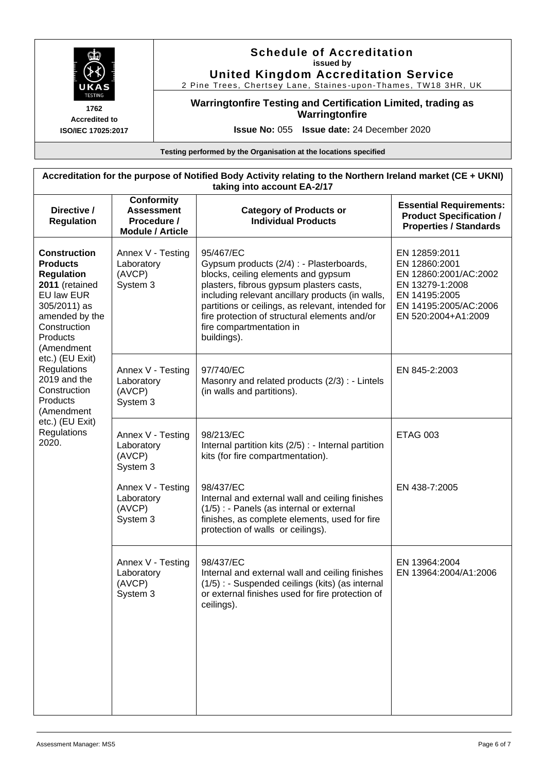

**United Kingdom Accreditation Service** 2 Pine Trees, Chertsey Lane, Staines -upon-Thames, TW18 3HR, UK

**Warringtonfire Testing and Certification Limited, trading as Warringtonfire**

**Accredited to ISO/IEC 17025:2017**

**Issue No:** 055 **Issue date:** 24 December 2020

| Accreditation for the purpose of Notified Body Activity relating to the Northern Ireland market (CE + UKNI)<br>taking into account EA-2/17                                                                                                                                                                            |                                                                           |                                                                                                                                                                                                                                                                                                                                               |                                                                                                                                             |  |
|-----------------------------------------------------------------------------------------------------------------------------------------------------------------------------------------------------------------------------------------------------------------------------------------------------------------------|---------------------------------------------------------------------------|-----------------------------------------------------------------------------------------------------------------------------------------------------------------------------------------------------------------------------------------------------------------------------------------------------------------------------------------------|---------------------------------------------------------------------------------------------------------------------------------------------|--|
| Directive /<br><b>Regulation</b>                                                                                                                                                                                                                                                                                      | Conformity<br><b>Assessment</b><br>Procedure /<br><b>Module / Article</b> | <b>Category of Products or</b><br><b>Individual Products</b>                                                                                                                                                                                                                                                                                  | <b>Essential Requirements:</b><br><b>Product Specification /</b><br><b>Properties / Standards</b>                                           |  |
| <b>Construction</b><br><b>Products</b><br><b>Regulation</b><br>2011 (retained<br>EU law EUR<br>305/2011) as<br>amended by the<br>Construction<br>Products<br>(Amendment<br>etc.) (EU Exit)<br>Regulations<br>2019 and the<br>Construction<br><b>Products</b><br>(Amendment<br>etc.) (EU Exit)<br>Regulations<br>2020. | Annex V - Testing<br>Laboratory<br>(AVCP)<br>System 3                     | 95/467/EC<br>Gypsum products (2/4) : - Plasterboards,<br>blocks, ceiling elements and gypsum<br>plasters, fibrous gypsum plasters casts,<br>including relevant ancillary products (in walls,<br>partitions or ceilings, as relevant, intended for<br>fire protection of structural elements and/or<br>fire compartmentation in<br>buildings). | EN 12859:2011<br>EN 12860:2001<br>EN 12860:2001/AC:2002<br>EN 13279-1:2008<br>EN 14195:2005<br>EN 14195:2005/AC:2006<br>EN 520:2004+A1:2009 |  |
|                                                                                                                                                                                                                                                                                                                       | Annex V - Testing<br>Laboratory<br>(AVCP)<br>System 3                     | 97/740/EC<br>Masonry and related products (2/3) : - Lintels<br>(in walls and partitions).                                                                                                                                                                                                                                                     | EN 845-2:2003                                                                                                                               |  |
|                                                                                                                                                                                                                                                                                                                       | Annex V - Testing<br>Laboratory<br>(AVCP)<br>System 3                     | 98/213/EC<br>Internal partition kits (2/5) : - Internal partition<br>kits (for fire compartmentation).                                                                                                                                                                                                                                        | <b>ETAG 003</b>                                                                                                                             |  |
|                                                                                                                                                                                                                                                                                                                       | Annex V - Testing<br>Laboratory<br>(AVCP)<br>System 3                     | 98/437/EC<br>Internal and external wall and ceiling finishes<br>(1/5) : - Panels (as internal or external<br>finishes, as complete elements, used for fire<br>protection of walls or ceilings).                                                                                                                                               | EN 438-7:2005                                                                                                                               |  |
|                                                                                                                                                                                                                                                                                                                       | Annex V - Testing<br>Laboratory<br>(AVCP)<br>System 3                     | 98/437/EC<br>Internal and external wall and ceiling finishes<br>(1/5) : - Suspended ceilings (kits) (as internal<br>or external finishes used for fire protection of<br>ceilings).                                                                                                                                                            | EN 13964:2004<br>EN 13964:2004/A1:2006                                                                                                      |  |
|                                                                                                                                                                                                                                                                                                                       |                                                                           |                                                                                                                                                                                                                                                                                                                                               |                                                                                                                                             |  |